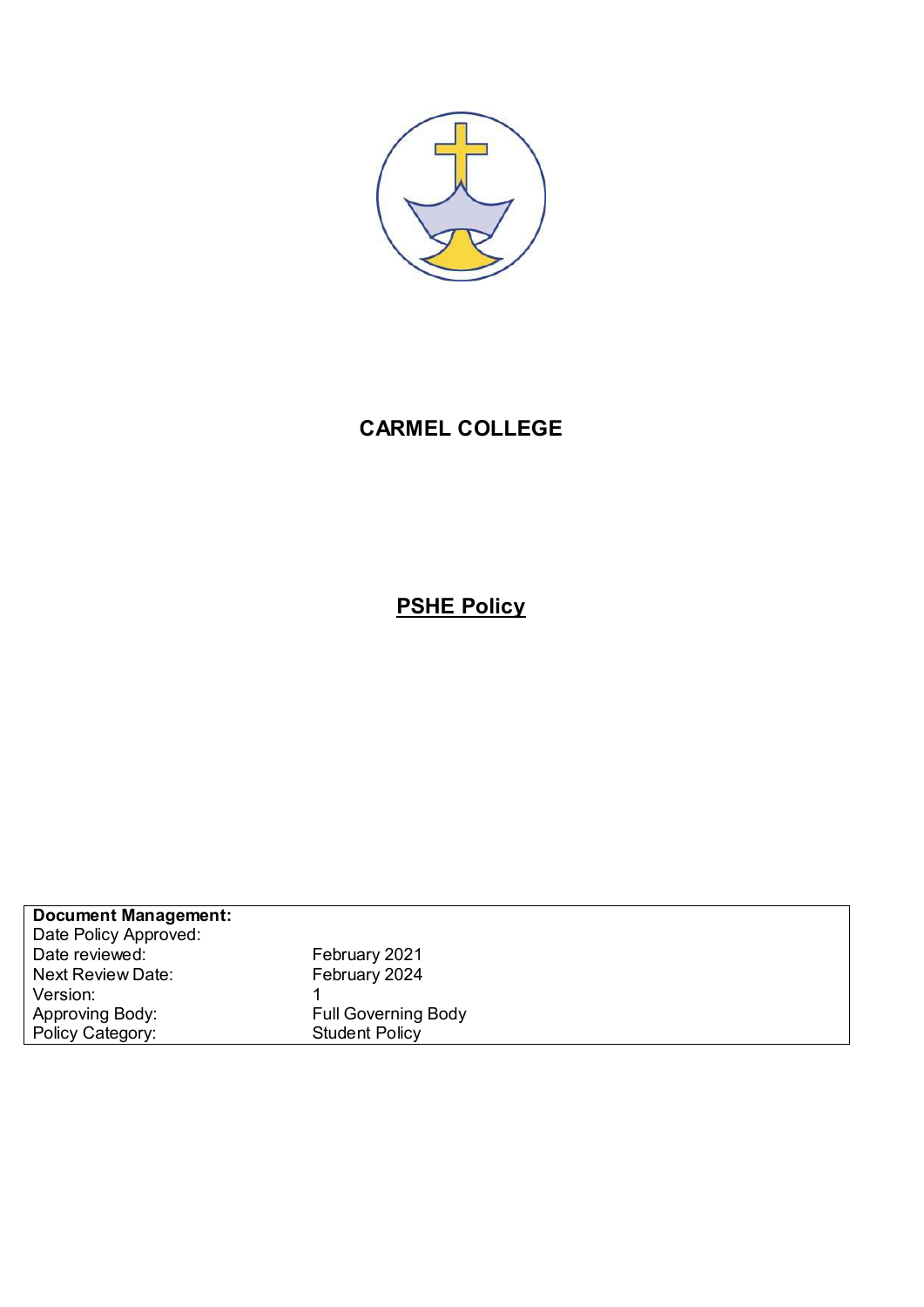

## **CARMEL COLLEGE**

# **PSHE Policy**

| <b>Document Management:</b> |                            |
|-----------------------------|----------------------------|
| Date Policy Approved:       |                            |
| Date reviewed:              | February 2021              |
| <b>Next Review Date:</b>    | February 2024              |
| Version:                    |                            |
| Approving Body:             | <b>Full Governing Body</b> |
| Policy Category:            | <b>Student Policy</b>      |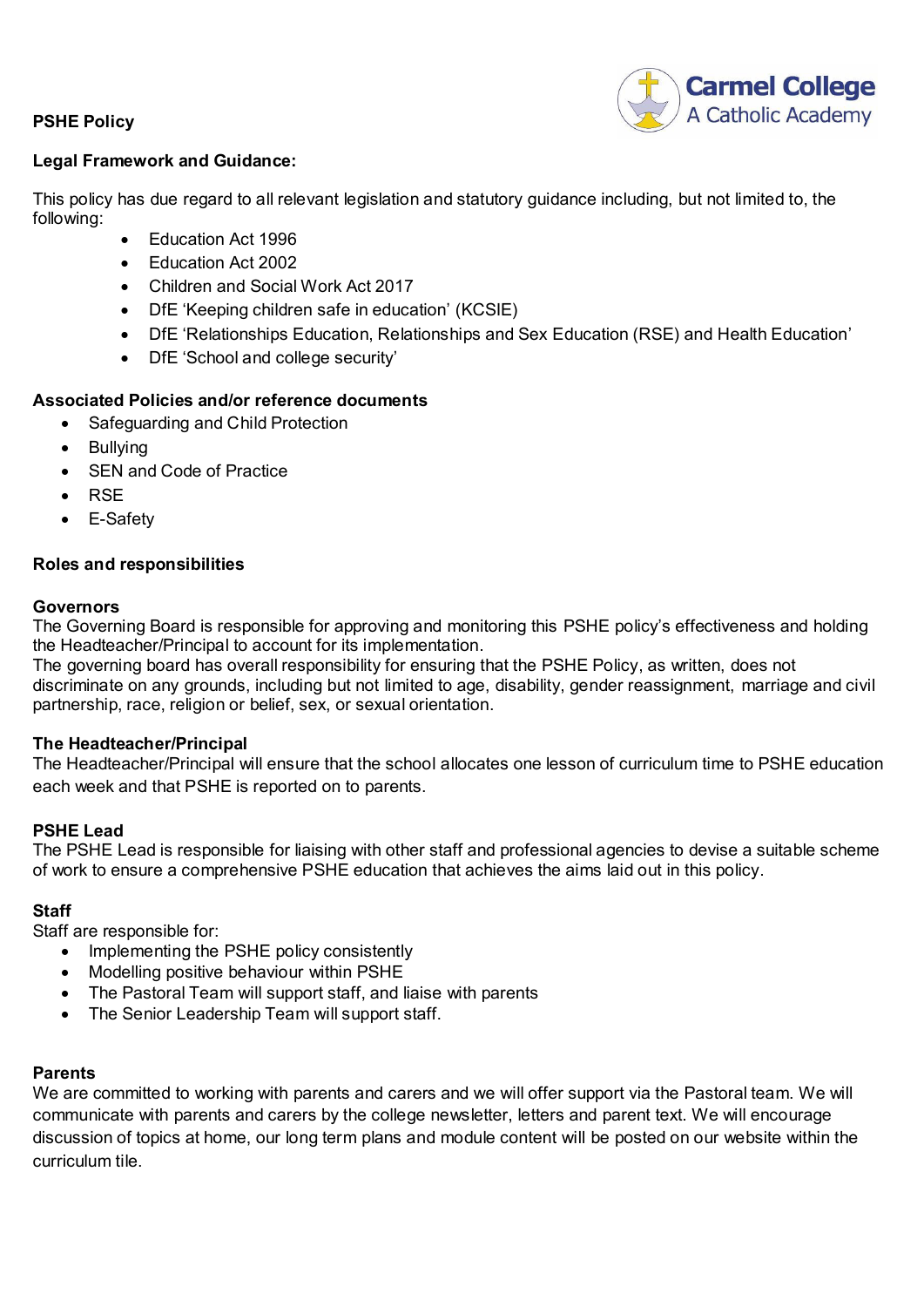## **PSHE Policy**



#### **Legal Framework and Guidance:**

This policy has due regard to all relevant legislation and statutory guidance including, but not limited to, the following:

- Education Act 1996
- Education Act 2002
- Children and Social Work Act 2017
- DfE 'Keeping children safe in education' (KCSIE)
- DfE 'Relationships Education, Relationships and Sex Education (RSE) and Health Education'
- DfE 'School and college security'

## **Associated Policies and/or reference documents**

- Safeguarding and Child Protection
- Bullying
- SEN and Code of Practice
- $\bullet$  RSE
- E-Safety

## **Roles and responsibilities**

#### **Governors**

The Governing Board is responsible for approving and monitoring this PSHE policy's effectiveness and holding the Headteacher/Principal to account for its implementation.

The governing board has overall responsibility for ensuring that the PSHE Policy, as written, does not discriminate on any grounds, including but not limited to age, disability, gender reassignment, marriage and civil partnership, race, religion or belief, sex, or sexual orientation.

#### **The Headteacher/Principal**

The Headteacher/Principal will ensure that the school allocates one lesson of curriculum time to PSHE education each week and that PSHE is reported on to parents.

## **PSHE Lead**

The PSHE Lead is responsible for liaising with other staff and professional agencies to devise a suitable scheme of work to ensure a comprehensive PSHE education that achieves the aims laid out in this policy.

## **Staff**

Staff are responsible for:

- Implementing the PSHE policy consistently
- Modelling positive behaviour within PSHE
- The Pastoral Team will support staff, and liaise with parents
- The Senior Leadership Team will support staff.

#### **Parents**

We are committed to working with parents and carers and we will offer support via the Pastoral team. We will communicate with parents and carers by the college newsletter, letters and parent text. We will encourage discussion of topics at home, our long term plans and module content will be posted on our website within the curriculum tile.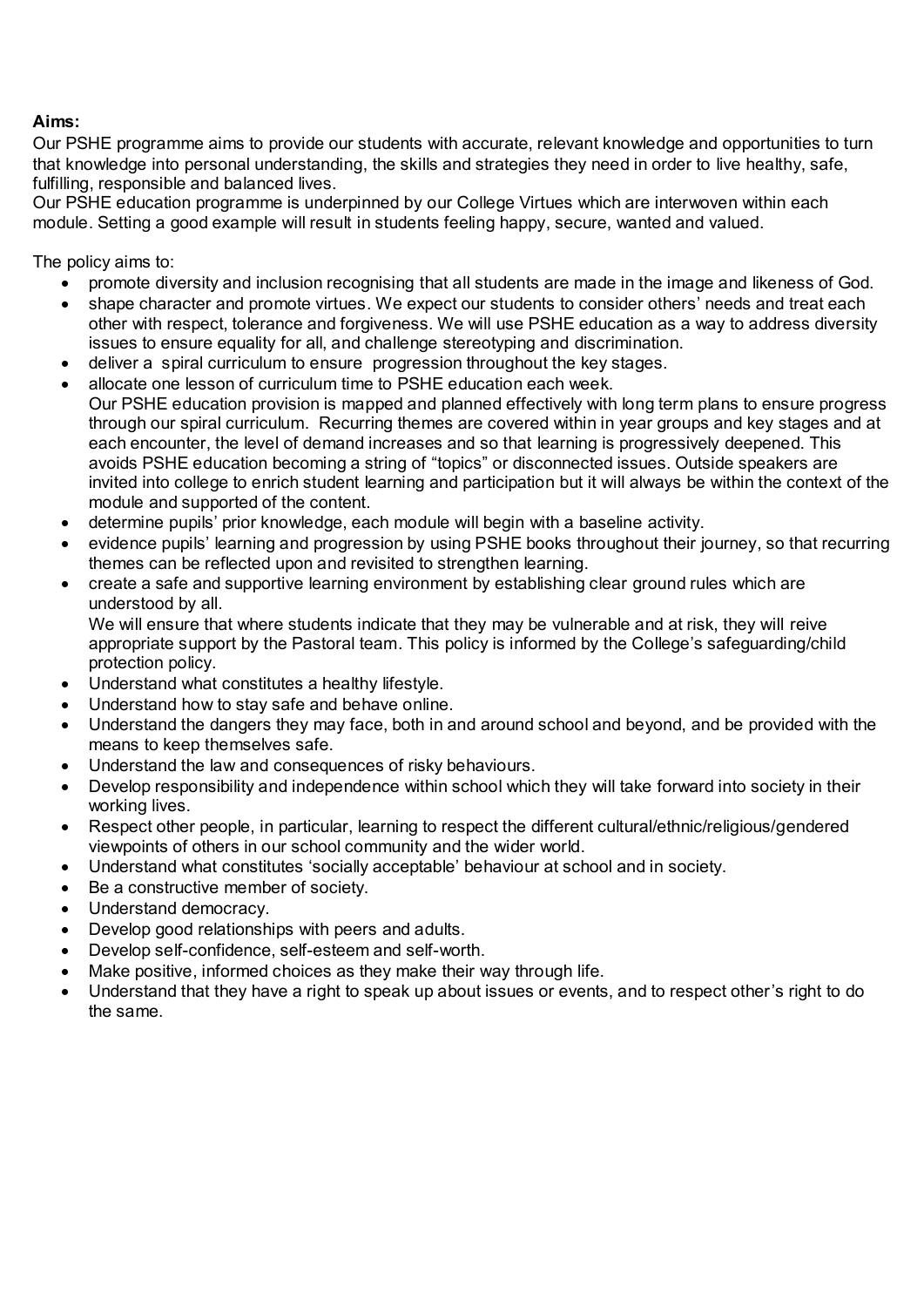## **Aims:**

Our PSHE programme aims to provide our students with accurate, relevant knowledge and opportunities to turn that knowledge into personal understanding, the skills and strategies they need in order to live healthy, safe, fulfilling, responsible and balanced lives.

Our PSHE education programme is underpinned by our College Virtues which are interwoven within each module. Setting a good example will result in students feeling happy, secure, wanted and valued.

The policy aims to:

- promote diversity and inclusion recognising that all students are made in the image and likeness of God.
- shape character and promote virtues. We expect our students to consider others' needs and treat each other with respect, tolerance and forgiveness. We will use PSHE education as a way to address diversity issues to ensure equality for all, and challenge stereotyping and discrimination.
- deliver a spiral curriculum to ensure progression throughout the key stages.
- allocate one lesson of curriculum time to PSHE education each week. Our PSHE education provision is mapped and planned effectively with long term plans to ensure progress through our spiral curriculum. Recurring themes are covered within in year groups and key stages and at each encounter, the level of demand increases and so that learning is progressively deepened. This avoids PSHE education becoming a string of "topics" or disconnected issues. Outside speakers are invited into college to enrich student learning and participation but it will always be within the context of the module and supported of the content.
- determine pupils' prior knowledge, each module will begin with a baseline activity.
- evidence pupils' learning and progression by using PSHE books throughout their journey, so that recurring themes can be reflected upon and revisited to strengthen learning.
- create a safe and supportive learning environment by establishing clear ground rules which are understood by all.

We will ensure that where students indicate that they may be vulnerable and at risk, they will reive appropriate support by the Pastoral team. This policy is informed by the College's safeguarding/child protection policy.

- Understand what constitutes a healthy lifestyle.
- Understand how to stay safe and behave online.
- Understand the dangers they may face, both in and around school and beyond, and be provided with the means to keep themselves safe.
- Understand the law and consequences of risky behaviours.
- Develop responsibility and independence within school which they will take forward into society in their working lives.
- Respect other people, in particular, learning to respect the different cultural/ethnic/religious/gendered viewpoints of others in our school community and the wider world.
- Understand what constitutes 'socially acceptable' behaviour at school and in society.
- Be a constructive member of society.
- Understand democracy.
- Develop good relationships with peers and adults.
- Develop self-confidence, self-esteem and self-worth.
- Make positive, informed choices as they make their way through life.
- Understand that they have a right to speak up about issues or events, and to respect other's right to do the same.